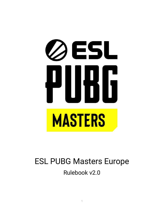# ØESL **MASTERS**

# <span id="page-0-0"></span>ESL PUBG Masters Europe Rulebook v2.0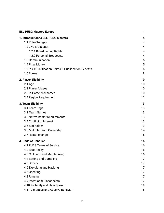| <b>ESL PUBG Masters Europe</b>                        | 1  |
|-------------------------------------------------------|----|
| 1. Introduction to ESL PUBG Masters                   | 4  |
| 1.1 Rule Changes                                      | 4  |
| 1.2 Live Broadcast                                    | 4  |
| 1.2.1 Broadcasting Rights                             | 4  |
| 1.2.2 Personal Broadcasts                             | 4  |
| 1.3 Communication                                     | 5  |
| 1.4 Prize Money                                       | 5  |
| 1.5 PGC Qualification Points & Qualification Benefits | 6  |
| 1.6 Format                                            | 8  |
| 2. Player Eligibility                                 | 10 |
| $2.1$ Age                                             | 10 |
| 2.2 Player Aliases                                    | 10 |
| 2.3 In-Game Nicknames                                 | 10 |
| 2.4 Region Requirement                                | 11 |
| 3. Team Eligibility                                   | 13 |
| 3.1 Team Tags                                         | 13 |
| 3.2 Team Names                                        | 13 |
| 3.3 Native Roster Requirements                        | 13 |
| 3.4 Conflict of Interest                              | 13 |
| 3.5 Slot holder                                       | 13 |
| 3.6 Multiple Team Ownership                           | 14 |
| 3.7 Roster change                                     | 15 |
| 4. Code of Conduct                                    | 16 |
| 4.1 PUBG Terms of Service.                            | 16 |
| 4.2 Best Ability                                      | 16 |
| 4.3 Collusion and Match-Fixing                        | 16 |
| 4.4 Betting and Gambling                              | 17 |
| 4.5 Bribery                                           | 17 |
| 4.6 Exploiting and Hacking                            | 17 |
| 4.7 Cheating                                          | 17 |
| 4.8 Ringing                                           | 17 |
| 4.9 Intentional Disconnects                           | 17 |
| 4.10 Profanity and Hate Speech                        | 18 |
| 4.11 Disruptive and Abusive Behavior                  | 18 |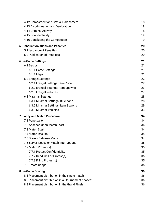| 4.12 Harassment and Sexual Harassment                | 18 |
|------------------------------------------------------|----|
| 4.13 Discrimination and Denigration                  | 18 |
| 4.14 Criminal Activity                               | 18 |
| 4.15 Confidentiality                                 | 19 |
| 4.16 Concluding the Competition                      | 19 |
| <b>5. Conduct Violations and Penalties</b>           | 20 |
| 5.1 Issuance of Penalties                            | 20 |
| 5.2 Publication of Penalties                         | 20 |
| 6. In-Game Settings                                  | 21 |
| 6.1 Basics                                           | 21 |
| 6.1.1 Game Settings                                  | 21 |
| 6.1.2 Maps                                           | 21 |
| 6.2 Erangel Settings                                 | 22 |
| 6.2.1 Erangel Settings: Blue Zone                    | 22 |
| 6.2.2 Erangel Settings: Item Spawns                  | 23 |
| 6.2.3 Erangel Vehicles                               | 27 |
| 6.3 Miramar Settings                                 | 28 |
| 6.3.1 Miramar Settings: Blue Zone                    | 28 |
| 6.3.2 Miramar Settings: Item Spawns                  | 29 |
| 6.3.3 Miramar Vehicles                               | 33 |
| 7. Lobby and Match Procedure                         | 34 |
| 7.1 Punctuality                                      | 34 |
| 7.2 Absence Upon Match Start                         | 34 |
| 7.3 Match Start                                      | 34 |
| 7.4 Match Results                                    | 34 |
| 7.5 Breaks Between Maps                              | 34 |
| 7.6 Server Issues or Match Interruptions             | 35 |
| 7.7 Match Protest(s)                                 | 35 |
| 7.7.1 Protest Confidentiality                        | 35 |
| 7.7.2 Deadline For Protest(s)                        | 35 |
| 7.7.3 Filing Protest(s)                              | 35 |
| 7.8 Emote Usage                                      | 35 |
| 8. In-Game Scoring                                   | 36 |
| 8.1 Placement distribution in the single match       | 36 |
| 8.2 Placement distribution in all tournament phases: | 36 |
| 8.3 Placement distribution in the Grand Finals       | 36 |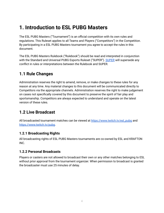# <span id="page-3-0"></span>**1. Introduction to ESL PUBG Masters**

The ESL PUBG Masters ("Tournament") is an official competition with its own rules and regulations. This Ruleset applies to all Teams and Players ("Competitors") in the Competition. By participating in a ESL PUBG Masters tournament you agree to accept the rules in this document.

The ESL PUBG Masters Rulebook ("Rulebook") should be read and interpreted in conjunction with the Standard and Universal PUBG Esports Ruleset ("SUPER"). [SUPER](https://cdn.eslgaming.com/misc/gfx/media/play/cupsquad/2021/pubgmasters/SUPER3.pdf) will supersede any conflict in rules or interpretations between the Rulebook and SUPER.

#### <span id="page-3-1"></span>**1.1 Rule Changes**

Administration reserves the right to amend, remove, or make changes to these rules for any reason at any time. Any material changes to this document will be communicated directly to Competitors via the appropriate channels. Administration reserves the right to make judgement on cases not specifically covered by this document to preserve the spirit of fair play and sportsmanship. Competitors are always expected to understand and operate on the latest version of these rules.

#### <span id="page-3-2"></span>**1.2 Live Broadcast**

All broadcasted tournament matches can be viewed at [https://www.twitch.tv/esl\\_pubg](https://www.twitch.tv/esl_pubg) and <https://www.twitch.tv/pubg>.

#### <span id="page-3-3"></span>**1.2.1 Broadcasting Rights**

All broadcasting rights of ESL PUBG Masters tournaments are co-owned by ESL and KRAFTON INC.

#### <span id="page-3-4"></span>**1.2.2 Personal Broadcasts**

Players or casters are not allowed to broadcast their own or any other matches belonging to ESL without prior approval from the tournament organizer. When permission to broadcast is granted the broadcaster must use 25 minutes of delay.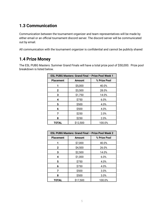#### <span id="page-4-0"></span>**1.3 Communication**

Communication between the tournament organizer and team representatives will be made by either email or an official tournament discord server. The discord server will be communicated out by email.

All communication with the tournament organizer is confidential and cannot be publicly shared

#### <span id="page-4-1"></span>**1.4 Prize Money**

The ESL PUBG Masters: Summer Grand Finals will have a total prize pool of \$50,000. Prize pool breakdown is listed below.

| <b>ESL PUBG Masters: Grand Final - Prize Pool Week 1</b> |                               |        |  |  |  |
|----------------------------------------------------------|-------------------------------|--------|--|--|--|
| <b>Placement</b>                                         | % Prize Pool<br><b>Amount</b> |        |  |  |  |
|                                                          | \$5,000                       | 40.0%  |  |  |  |
| $\mathbf{2}$                                             | \$3,500                       | 28.0%  |  |  |  |
| 3                                                        | \$1,750                       | 14.0%  |  |  |  |
| 4                                                        | \$750                         | 6.0%   |  |  |  |
| 5                                                        | \$500                         | 4.0%   |  |  |  |
| 6                                                        | \$500                         | 4.0%   |  |  |  |
| 7                                                        | \$250                         | 2.0%   |  |  |  |
| 8                                                        | \$250                         | 2.0%   |  |  |  |
| TOTAL                                                    | \$12,500                      | 100.0% |  |  |  |

| ESL PUBG Masters: Grand Final - Prize Pool Week 2 |                               |        |  |  |  |
|---------------------------------------------------|-------------------------------|--------|--|--|--|
| <b>Placement</b>                                  | % Prize Pool<br><b>Amount</b> |        |  |  |  |
|                                                   | \$7,000                       | 40.0%  |  |  |  |
| $\mathbf{2}$                                      | \$4,500                       | 26.0%  |  |  |  |
| 3                                                 | \$2,500                       | 14.0%  |  |  |  |
| 4                                                 | \$1,000                       | 6.0%   |  |  |  |
| 5                                                 | \$750                         | 4.0%   |  |  |  |
| 6                                                 | \$750                         | 4.0%   |  |  |  |
| 7                                                 | \$500                         | 3.0%   |  |  |  |
| 8                                                 | \$500                         | 3.0%   |  |  |  |
| TOTAL                                             | \$17,500                      | 100.0% |  |  |  |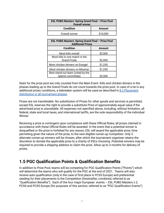| <b>ESL PUBG Masters: Spring Grand Final - Prize Pool</b><br><b>Overall winner</b> |          |  |  |  |
|-----------------------------------------------------------------------------------|----------|--|--|--|
| <b>Condition</b><br>Amount                                                        |          |  |  |  |
| Overall winner                                                                    | \$10,000 |  |  |  |

| <b>ESL PUBG Masters: Spring Grand Final - Prize Pool</b><br><b>Additional Prizes</b> |               |  |  |  |
|--------------------------------------------------------------------------------------|---------------|--|--|--|
| <b>Condition</b>                                                                     | <b>Amount</b> |  |  |  |
| Most kills overall                                                                   | \$2,500       |  |  |  |
| Most kills in one match in the                                                       |               |  |  |  |
| <b>Grand Finals</b>                                                                  | \$2,500       |  |  |  |
| Most chicken dinners on Erangel                                                      | \$1,250       |  |  |  |
| Most chicken dinners on Miramar                                                      | \$1,250       |  |  |  |
| Best stand-out team (voted by the                                                    |               |  |  |  |
| talents committee)                                                                   | S2.500        |  |  |  |

Stats for the prize pool are only counted from the Main Event. Kills and chicken dinners in the phases leading up to the Grand Finals do not count towards the prize pool. In case of a tie in any additional prizes conditions, a tiebreaker system will be used as described in 8.2 [Placement](#page-35-2) distribution in all [tournament](#page-35-2) phases.

Prizes are not transferable. No substitution of Prizes for other goods and services is permitted, except ESL reserves the right to provide a substitute Prize of approximately equal value if the advertised prize is unavailable. All expenses not specified above, including, without limitation, all federal, state and local taxes, and international tariffs, are the sole responsibility of the individual Winner.

Receiving a prize is contingent upon compliance with these Official Rules; all prizes claimed in accordance with these Official Rules will be awarded. In the event that a potential winner is disqualified or the prize is forfeited for any reason, ESL will award the applicable prize, time permitting given the nature of the prize, to the next eligible runner-up Competitor. Only 3 alternate runner-up winners will be chosen, after which the tournament organiser retains the discretion to donate the applicable prize to a charity of ESL's choosing. Potential winners may be required to provide a shipping address to claim the prize. Allow up to 3 months for delivery of prizes.

#### <span id="page-5-0"></span>**1.5 PGC Qualification Points & Qualification Benefits**

In addition to Prize Pool, teams will be competing for PGC Qualification Points ("Points") which will determine the teams who will qualify for the PGC at the end of 2021. Teams will also receive auto qualification (only in the case of first place in PCS5 Europe) and preferential seeding for their placements in the Competition (hereinafter, combined, referred to as "Qualification Benefits"). Each of the four major European events – ESL PUBG Masters x 2, PCS4 and PCS5 Europe (for purposes of this section, referred to as "PGC Qualification Events")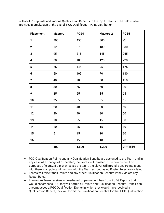will allot PGC points and various Qualification Benefits to the top 16 teams. The below table provides a breakdown of the overall PGC Qualification Point Distribution

| <b>Placement</b>        | <b>Masters 1</b> | PCS4  | <b>Masters 2</b> | PCS5         |
|-------------------------|------------------|-------|------------------|--------------|
| $\mathbf{1}$            | 200              | 450   | 300              | $\checkmark$ |
| $\mathbf 2$             | 120              | 270   | 180              | 330          |
| 3                       | 95               | 215   | 145              | 265          |
| $\overline{\mathbf{4}}$ | 80               | 180   | 120              | 220          |
| $5\phantom{.0}$         | 65               | 145   | 95               | 175          |
| 6                       | 50               | 105   | 70               | 130          |
| $\overline{7}$          | 40               | 90    | 60               | 110          |
| 8                       | 30               | 75    | 50               | 90           |
| 9                       | 25               | 55    | 35               | 65           |
| 10                      | 25               | 55    | 35               | 65           |
| 11                      | 20               | 40    | 30               | 50           |
| 12                      | 20               | 40    | 30               | 50           |
| 13                      | 10               | 25    | 15               | 30           |
| 14                      | 10               | 25    | 15               | $30\,$       |
| 15                      | $5\phantom{.0}$  | 15    | 10               | 20           |
| 16                      | 5                | 15    | 10               | 20           |
|                         | 800              | 1,800 | 1,200            | $/ + 1650$   |

- PGC Qualification Points and any Qualification Benefits are assigned to the Team and in any case of a change of ownership, the Points will transfer to the new owner. For purposes of clarity, if a player leaves the team, the player **will not** take any Points along with them – all points will remain with the Team so long as no Roster Rules are violated.
- Teams will forfeit their Points and any other Qualification Benefits if they violate any Roster Rules.
- If an entire Team receives a time-based or permanent ban from PUBG Esports that would encompass PGC they will forfeit all Points and Qualification Benefits. If their ban encompasses a PGC Qualification Events in which they would have received a Qualification Benefit, they will forfeit the Qualification Benefits for that PGC Qualification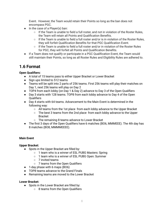Event. However, the Team would retain their Points so long as the ban does not encompass PGC.

- In the case of a Player(s) ban:
	- If the Team is unable to field a full roster, and not in violation of the Roster Rules, the Team will retain all Points and Qualification Benefits.
	- $\circ$  If the Team is unable to field a full roster and/or is in violation of the Roster Rules, they will forfeit Qualification Benefits for that PGC Qualification Event.
	- $\circ$  If the Team is unable to field a full roster and/or in violation of the Roster Rules for PGC, they will forfeit all Points and Qualification Benefits.
- If a Team does not qualify or participate in a PGC Qualification Event, the Team would still maintain their Points, so long as all Roster Rules and Eligibility Rules are adhered to.

#### <span id="page-7-0"></span>**1.6 Format**

#### **Open Qualifiers:**

- A total of 15 teams pass to either Upper Bracket or Lower Bracket
- Sign ups limited to 512 teams
- Teams will be split into 2 parts of 256 teams. First 256 teams will play their matches on Day 1, next 256 teams will play on Day 2
- TOP4 from each lobby (on Day 1 & Day 2) advance to Day 3 of the Open Qualifiers
- Day 3 starts with 128 teams. TOP8 from each lobby advance to Day 4 of the Open **Qualifiers**
- Day 4 starts with 64 teams. Advancement to the Main Event is determined in the following way:
	- All teams from the 1st place from each lobby advance to the Upper Bracket
	- The best 3 teams from the 2nd place from each lobby advance to the Upper Bracket
	- The remaining 8 teams advance to Lower Bracket
- The first 3 days of the Open Qualifiers have 6 matches (BO6, MMMEEE). The 4th day has 8 matches (BO8, MMMMEEEE).

#### **Main Event**

#### **Upper Bracket:**

- Spots in the Upper Bracket are filled by:
	- 1 team who is a winner of ESL PUBG Masters: Spring
	- 1 team who is a winner of ESL PUBG Open: Summer
	- 7 invited teams
	- 7 teams from the Open Qualifiers
- 1-day phase with 6 maps (BO6)
- TOP8 teams advance to the Grand Finals
- Remaining teams are moved to the Lower Bracket

#### **Lower Bracket:**

- Spots in the Lower Bracket are filled by:
	- 8 teams from the Open Qualifiers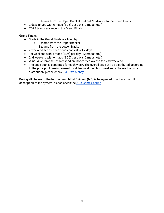- 8 teams from the Upper Bracket that didn't advance to the Grand Finals
- 2-days phase with 6 maps (BO6) per day (12 maps total)
- TOP8 teams advance to the Grand Finals

#### **Grand Finals:**

- Spots in the Grand Finals are filled by:
	- 8 teams from the Upper Bracket
	- 8 teams from the Lower Bracket
- 2-weekend series, each series consists of 2 days
- 1st weekend with 6 maps (BO6) per day (12 maps total)
- 2nd weekend with 6 maps (BO6) per day (12 maps total)
- Wins/kills from the 1st weekend are not carried over to the 2nd weekend
- The prize pool is separated for each week. The overall prize will be distributed according to the prize pool ranking earned by all teams during both weekends. To see the prize distribution, please check 1.4 Prize [Money.](#page-4-1)

**During all phases of the tournament, Most Chicken (MC) is being used.** To check the full description of the system, please check the 8. [In-Game](#page-35-0) Scoring.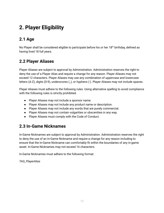# <span id="page-9-0"></span>**2. Player Eligibility**

## <span id="page-9-1"></span>**2.1 Age**

No Player shall be considered eligible to participate before his or her 18<sup>th</sup> birthday, defined as having lived 18 full years.

#### <span id="page-9-2"></span>**2.2 Player Aliases**

Player Aliases are subject to approval by Administration. Administration reserves the right to deny the use of a Player Alias and require a change for any reason. Player Aliases may not exceed 12 characters. Player Aliases may use any combination of uppercase and lowercase letters (A-Z), digits (0-9), underscores (\_), or hyphens (-). Player Aliases may not include spaces.

Player Aliases must adhere to the following rules. Using alternative spelling to avoid compliance with the following rules is strictly prohibited.

- Player Aliases may not include a sponsor name.
- Player Aliases may not include any product name or description.
- Player Aliases may not include any words that are purely commercial.
- Player Aliases may not contain vulgarities or obscenities in any way.
- Player Aliases must comply with the Code of Conduct.

#### <span id="page-9-3"></span>**2.3 In-Game Nicknames**

In-Game Nicknames are subject to approval by Administration. Administration reserves the right to deny the use of an In-Game Nickname and require a change for any reason including to ensure that the In-Game Nickname can comfortably fit within the boundaries of any in-game asset. In-Game Nicknames may not exceed 16 characters.

In-Game Nicknames must adhere to the following format:

*TAG\_PlayerAlias*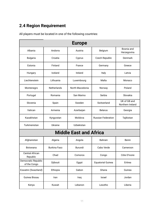## <span id="page-10-0"></span>**2.4 Region Requirement**

All players must be located in one of the following countries:

| <b>Europe</b>                       |                     |                                   |                           |                                  |  |  |
|-------------------------------------|---------------------|-----------------------------------|---------------------------|----------------------------------|--|--|
| Albania                             | Andorra             | Austria                           | Belgium                   | Bosnia and<br>Herzegovina        |  |  |
| <b>Bulgaria</b>                     | Croatia             | Cyprus                            | Czech Republic            | Denmark                          |  |  |
| Estonia                             | Finland             | France                            | Germany                   | Greece                           |  |  |
| Hungary                             | Iceland             | Ireland                           | Italy                     | Latvia                           |  |  |
| Liechtenstein                       | Lithuania           | Luxembourg                        | Malta                     | Monaco                           |  |  |
| Montenegro                          | <b>Netherlands</b>  | North Macedonia                   | Norway                    | Poland                           |  |  |
| Portugal                            | Romania             | San Marino                        | Serbia                    | Slovakia                         |  |  |
| Slovenia                            | Spain               | Sweden                            | Switzerland               | UK of GB and<br>Northern Ireland |  |  |
| Vatican                             | Armenia             | Azerbaijan                        | <b>Belarus</b>            | Georgia                          |  |  |
| Kazakhstan                          | Kyrgyzstan          | Moldova                           | <b>Russian Federation</b> | Tajikistan                       |  |  |
| Turkmenistan                        | Ukraine             | Uzbekistan                        |                           |                                  |  |  |
|                                     |                     | <b>Middle East and Africa</b>     |                           |                                  |  |  |
| Afghanistan                         | Algeria             | Angola                            | <b>Bahrain</b>            | Benin                            |  |  |
| <b>Botswana</b>                     | <b>Burkina Faso</b> | Burundi                           | Cabo Verde                | Cameroon                         |  |  |
| <b>Central African</b><br>Republic  | Chad                | Comoros<br>Congo                  |                           | Côte D'Ivoire                    |  |  |
| Democratic Republic<br>of the Congo | Djibouti            | <b>Equatorial Guinea</b><br>Egypt |                           | Eritrea                          |  |  |
| Eswatini (Swaziland)                | Ethiopia            | Gabon<br>Ghana                    |                           | Guinea                           |  |  |
| Guinea Bissau                       | Iran                | Iraq                              | Israel                    | Jordan                           |  |  |
| Kenya                               | Kuwait              | Lebanon                           | Lesotho                   | Liberia                          |  |  |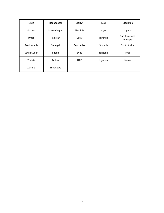| Libya        | Madagascar | Malawi     | Mali     | <b>Mauritius</b>         |
|--------------|------------|------------|----------|--------------------------|
| Morocco      | Mozambique | Namibia    | Niger    | Nigeria                  |
| Oman         | Pakistan   | Qatar      | Rwanda   | Sao Tome and<br>Principe |
| Saudi Arabia | Senegal    | Seychelles | Somalia  | South Africa             |
| South Sudan  | Sudan      | Syria      | Tanzania | Togo                     |
| Tunisia      | Turkey     | <b>UAE</b> | Uganda   | Yemen                    |
| Zambia       | Zimbabwe   |            |          |                          |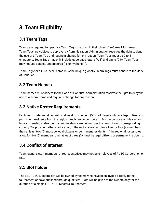# <span id="page-12-0"></span>**3. Team Eligibility**

## <span id="page-12-1"></span>**3.1 Team Tags**

Teams are required to specify a Team Tag to be used in their players' In-Game Nicknames. Team Tags are subject to approval by Administration. Administration reserves the right to deny the use of a Team Tag and require a change for any reason. Team Tags must be 2 to 4 characters. Team Tags may only include uppercase letters (A-Z) and digits (0-9). Team Tags may not use spaces, underscores (\_), or hyphens (-).

Team Tags for all Pro level Teams must be unique globally. Team Tags must adhere to the Code of Conduct.

#### <span id="page-12-2"></span>**3.2 Team Names**

Team names must adhere to the Code of Conduct. Administration reserves the right to deny the use of a Team Name and require a change for any reason.

#### <span id="page-12-3"></span>**3.3 Native Roster Requirements**

Each team roster must consist of at least fifty percent (50%) of players who are legal citizens or permanent residents from the region it registers to compete in. For the purpose of this section, legal citizenship and/or permanent residency are defined per the laws of each corresponding country. To provide further clarification, if the regional roster rules allow for four (4) members, then at least two (2) must be legal citizens or permanent residents. If the regional roster rules allow for five (5) members, then at least three (3) must be legal citizens or permanent residents.

## <span id="page-12-4"></span>**3.4 Conflict of Interest**

Team owners, staff members, or representatives may not be employees of PUBG Corporation or ESL.

## <span id="page-12-5"></span>**3.5 Slot holder**

The ESL PUBG Masters slot will be owned by teams who have been invited directly to the tournament or have qualified through qualifiers. Slots will be given to the owners only for the duration of a single ESL PUBG Masters Tournament.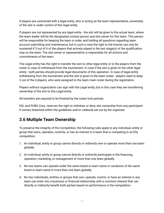If players are contracted with a legal entity, who is acting as the team representative, ownership of the slot is under control of this legal entity.

If players are not represented by any legal entity - the slot will be given to the actual team, where the team leader will be the designated contact person and slot owner for this team. This person will be responsible for keeping the team in order, and holding all questions regarding team account submitting and maintenance, but in such a case the right to the license can only be sustained if 3 out of 4 of the players that actively played in the last stage(s) of the qualification stay on the team. The slot owner or representative is responsible for all actions and commitments of the team.

The Legal entity has the right to transfer the slot to other legal entity or to the players from the roster in case of withdrawal from the tournament. In case if the slot is given to the other legal entity - both parties should provide legal documents of this operation. In case of legal entity withdrawing from the tournament and the slot is given to the team roster - players need to keep 3 out of the 4 players, who were assigned to the team main roster during the registration.

Players without organization can sign with the Legal entity, but in this case they are transferring ownership of the slot to this Legal entity.

All transfers are required to be finished by the roster lock periods.

ESL and PUBG Corp. reserves the right to withdraw or deny slot ownership from any participant if owners breached within the guidelines and/or rulebook set out by the organizer.

#### <span id="page-13-0"></span>**3.6 Multiple Team Ownership**

To preserve the integrity of the Competition, the following rules apply to any individual, entity or group that owns, operates, controls, or has an interest in a team that is competing in an ESL competition.

- 1. An individual, entity or group cannot directly or indirectly own or operate more than one team globally.
- 2. An individual, entity or group cannot directly or indirectly participate in the financing, operation, marketing, or management of more than one team globally.
- 3. No two teams can operate under the same brand or team name or variations of the same brand or team name in more than one team globally.
- 4. No two individuals, entities or groups that own, operate, control, or have an interest in any team can enter into a business or financial relationship with a common interest that can directly or indirectly benefit both parties based on performance in the competition.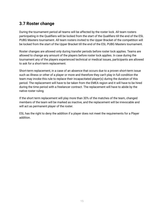#### <span id="page-14-0"></span>**3.7 Roster change**

During the tournament period all teams will be affected by the roster lock. All team rosters participating in the Qualifiers will be locked from the start of the Qualifiers till the end of the ESL PUBG Masters tournament. All team rosters invited to the Upper Bracket of the competition will be locked from the start of the Upper Bracket till the end of the ESL PUBG Masters tournament.

Roster changes are allowed only during transfer periods before roster lock applies. Teams are allowed to change any amount of the players before roster lock applies. In case during the tournament any of the players experienced technical or medical issues, participants are allowed to ask for a short-term replacement.

Short-term replacement, in a case of an absence that occurs due to a proven short-term issue such as illness or other of a player or more and therefore they can't play in full condition the team may invoke this rule to replace their incapacitated player(s) during the duration of this period. The replacement will have to be taken from the EMEA region and it will have to be hired during the time period with a freelancer contract. The replacement will have to abide by the native roster ruling.

If the short term replacement will play more than 30% of the matches of the team, changed members of the team will be marked as inactive, and the replacement will be irrevocable and will act as permanent player of the roster.

ESL has the right to deny the addition if a player does not meet the requirements for a Player addition.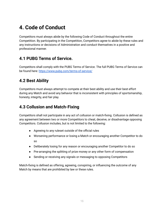# <span id="page-15-0"></span>**4. Code of Conduct**

Competitors must always abide by the following Code of Conduct throughout the entire Competition. By participating in the Competition, Competitors agree to abide by these rules and any instructions or decisions of Administration and conduct themselves in a positive and professional manner.

#### <span id="page-15-1"></span>**4.1 PUBG Terms of Service.**

Competitors shall comply with the PUBG Terms of Service. The full PUBG Terms of Service can be found here: <https://www.pubg.com/terms-of-service/>

## <span id="page-15-2"></span>**4.2 Best Ability**

Competitors must always attempt to compete at their best ability and use their best effort during any Match and avoid any behavior that is inconsistent with principles of sportsmanship, honesty, integrity, and fair play.

## <span id="page-15-3"></span>**4.3 Collusion and Match-Fixing**

Competitors shall not participate in any act of collusion or match-fixing. Collusion is defined as any agreement between two or more Competitors to cheat, deceive, or disadvantage opposing Competitors. Collusion includes, but is not limited to the following:

- Agreeing to any ruleset outside of the official rules
- Worsening performance or losing a Match or encouraging another Competitor to do so
- Deliberately losing for any reason or encouraging another Competitor to do so
- Pre-arranging the splitting of prize money or any other form of compensation
- Sending or receiving any signals or messaging to opposing Competitors

Match-fixing is defined as offering, agreeing, conspiring, or influencing the outcome of any Match by means that are prohibited by law or these rules.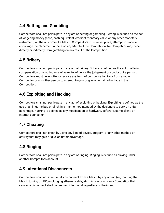## <span id="page-16-0"></span>**4.4 Betting and Gambling**

Competitors shall not participate in any act of betting or gambling. Betting is defined as the act of wagering money (cash, cash equivalent, credit of monetary value, or any other monetary instrument) on the outcome of a Match. Competitors must never place, attempt to place, or encourage the placement of bets on any Match of the Competition. No Competitor may benefit directly or indirectly from gambling on any result of the Competition.

## <span id="page-16-1"></span>**4.5 Bribery**

Competitors shall not participate in any act of bribery. Bribery is defined as the act of offering compensation or anything else of value to influence the judgement or conduct of a person. Competitors must never offer or receive any form of compensation to or from another Competitor or any other person to attempt to gain or give an unfair advantage in the Competition.

## <span id="page-16-2"></span>**4.6 Exploiting and Hacking**

Competitors shall not participate in any act of exploiting or hacking. Exploiting is defined as the use of an in-game bug or glitch in a manner not intended by the designers to seek an unfair advantage. Hacking is defined as any modification of hardware, software, game client, or internet connection.

## <span id="page-16-3"></span>**4.7 Cheating**

Competitors shall not cheat by using any kind of device, program, or any other method or activity that may gain or give an unfair advantage.

## <span id="page-16-4"></span>**4.8 Ringing**

Competitors shall not participate in any act of ringing. Ringing is defined as playing under another Competitor's account.

#### <span id="page-16-5"></span>**4.9 Intentional Disconnects**

Competitors shall not intentionally disconnect from a Match by any action (e.g. quitting the Match, turning off PC, unplugging ethernet cable, etc.). Any action from a Competitor that causes a disconnect shall be deemed intentional regardless of the intent.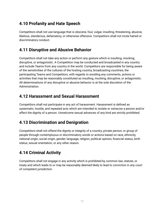#### <span id="page-17-0"></span>**4.10 Profanity and Hate Speech**

Competitors shall not use language that is obscene, foul, vulgar, insulting, threatening, abusive, libelous, slanderous, defamatory, or otherwise offensive. Competitors shall not incite hatred or discriminatory conduct.

#### <span id="page-17-1"></span>**4.11 Disruptive and Abusive Behavior**

Competitors shall not take any action or perform any gesture which is insulting, mocking, disruptive, or antagonistic. A Competition may be conducted and broadcasted in any country and include Teams from any country in the world. Competitors are responsible for being aware of the sensitivities of the cultures of the hosting country, broadcasting countries, the participating Teams and Competitors, with regards to avoiding any comments, actions or activities that may be reasonably constituted as insulting, mocking, disruptive, or antagonistic. All determinations of any disruptive or abusive behavior is at the sole discretion of the Administration.

#### <span id="page-17-2"></span>**4.12 Harassment and Sexual Harassment**

Competitors shall not participate in any act of harassment. Harassment is defined as systematic, hostile, and repeated acts which are intended to isolate or ostracize a person and/or affect the dignity of a person. Unwelcome sexual advances of any kind are strictly prohibited.

#### <span id="page-17-3"></span>**4.13 Discrimination and Denigration**

Competitors shall not offend the dignity or integrity of a country, private person, or group of people through contemptuous or discriminatory words or actions based on race, ethnicity, national origin, social origin, gender, language, religion, political opinion, financial status, birth status, sexual orientation, or any other reason.

## <span id="page-17-4"></span>**4.14 Criminal Activity**

Competitors shall not engage in any activity which is prohibited by common law, statute, or treaty and which leads to or may be reasonably deemed likely to lead to conviction in any court of competent jurisdiction.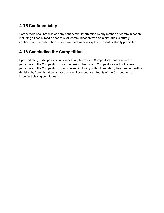## <span id="page-18-0"></span>**4.15 Confidentiality**

Competitors shall not disclose any confidential information by any method of communication including all social media channels. All communication with Administration is strictly confidential. The publication of such material without explicit consent is strictly prohibited.

#### <span id="page-18-1"></span>**4.16 Concluding the Competition**

Upon initiating participation in a Competition, Teams and Competitors shall continue to participate in the Competition to its conclusion. Teams and Competitors shall not refuse to participate in the Competition for any reason including, without limitation, disagreement with a decision by Administration, an accusation of competitive integrity of the Competition, or imperfect playing conditions.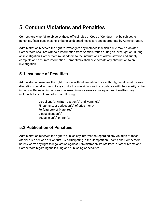# <span id="page-19-0"></span>**5. Conduct Violations and Penalties**

Competitors who fail to abide by these official rules or Code of Conduct may be subject to penalties, fines, suspensions, or bans as deemed necessary and appropriate by Administration.

Administration reserves the right to investigate any instance in which a rule may be violated. Competitors shall not withhold information from Administration during an investigation. During an investigation, Competitors must adhere to the instructions of Administration and supply complete and accurate information. Competitors shall never create any obstruction to an investigation.

#### <span id="page-19-1"></span>**5.1 Issuance of Penalties**

Administration reserves the right to issue, without limitation of its authority, penalties at its sole discretion upon discovery of any conduct or rule violations in accordance with the severity of the infraction. Repeated infractions may result in more severe consequences. Penalties may include, but are not limited to the following:

- Verbal and/or written caution(s) and warning(s)
- Fine(s) and/or deduction(s) of prize money
- Forfeiture(s) of Match(es)
- Disqualification(s)
- Suspension(s) or Ban(s)

#### <span id="page-19-2"></span>**5.2 Publication of Penalties**

Administration reserves the right to publish any information regarding any violation of these official rules or Code of Conduct. By participating in the Competition, Teams and Competitors hereby waive any right to legal action against Administration, its Affiliates, or other Teams and Competitors regarding the issuing and publishing of penalties.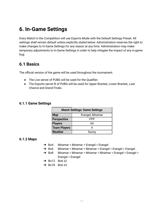# <span id="page-20-0"></span>**6. In-Game Settings**

Every Match in the Competition will use Esports Mode with the Default Settings Preset. All settings shall remain default unless explicitly stated below. Administration reserves the right to make changes to In-Game Settings for any reason at any time. Administration may make temporary adjustments to In-Game Settings in order to help mitigate the impact of any in-game bug.

#### <span id="page-20-1"></span>**6.1 Basics**

The official version of the game will be used throughout the tournament.

- The Live server of PUBG will be used for the Qualifier;
- The Esports server B of PUBG will be used for Upper Bracket, Lower Bracket,, Last Chance and Grand Finals.

#### <span id="page-20-2"></span>**6.1.1 Game Settings**

| <b>Match Settings: Game Settings</b> |  |  |  |
|--------------------------------------|--|--|--|
| <b>Map</b><br>Erangel, Miramar       |  |  |  |
| Perspective<br>FPP                   |  |  |  |
| Players<br>64                        |  |  |  |
| <b>Team Players</b>                  |  |  |  |
| <b>Weather</b><br>Sunny              |  |  |  |

#### <span id="page-20-3"></span>**6.1.2 Maps**

- ➔ Bo4 Miramar > Miramar > Erangel > Erangel
- ➔ Bo6 Miramar > Miramar > Miramar > Erangel > Erangel > Erangel
- ➔ Bo8 Miramar > Miramar > Miramar > Miramar > Erangel > Erangel > Erangel > Erangel
- $\rightarrow$  Bo12 Bo6 x2
- $\rightarrow$  Bo18 Bo6 x3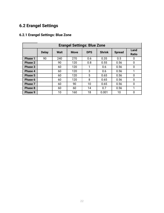## <span id="page-21-0"></span>**6.2 Erangel Settings**

| <b>Erangel Settings: Blue Zone</b> |              |             |             |            |               |               |                      |
|------------------------------------|--------------|-------------|-------------|------------|---------------|---------------|----------------------|
|                                    | <b>Delay</b> | <b>Wait</b> | <b>Move</b> | <b>DPS</b> | <b>Shrink</b> | <b>Spread</b> | Land<br><b>Ratio</b> |
| <b>Phase 1</b>                     | 90           | 240         | 270         | 0.6        | 0.35          | 0.5           | 0                    |
| <b>Phase 2</b>                     |              | 90          | 120         | 0.8        | 0.55          | 0.56          | $\mathbf 0$          |
| <b>Phase 3</b>                     |              | 60          | 120         | 1          | 0.6           | 0.56          | 0                    |
| Phase 4                            |              | 60          | 120         | 3          | 0.6           | 0.56          | 1                    |
| <b>Phase 5</b>                     |              | 60          | 120         | 5          | 0.65          | 0.56          | $\overline{0}$       |
| Phase 6                            |              | 60          | 120         | 8          | 0.65          | 0.56          | 0                    |
| Phase 7                            |              | 60          | 90          | 10         | 0.65          | 0.56          | $\overline{0}$       |
| <b>Phase 8</b>                     |              | 60          | 60          | 14         | 0.7           | 0.56          | 1                    |
| Phase 9                            |              | 10          | 160         | 18         | 0.001         | 10            | 0                    |

#### <span id="page-21-1"></span>**6.2.1 Erangel Settings: Blue Zone**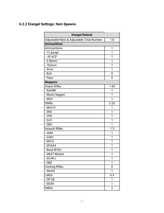#### <span id="page-22-0"></span>**6.2.2 Erangel Settings: Item Spawns**

| <b>Erangel Ruleset</b>                     |                |  |  |
|--------------------------------------------|----------------|--|--|
| Adjustable Ratio & Adjustable Total Number | 1.8            |  |  |
| <b>Ammunitions</b>                         |                |  |  |
| Ammunitions                                | 1              |  |  |
| -12 gauge                                  | 1              |  |  |
| $-0.45$ ACP                                | 1              |  |  |
| $-5.56$ mm                                 | 1              |  |  |
| $-762$ mm                                  | 1              |  |  |
| $-9mm$                                     | 1              |  |  |
| - Bolt                                     | 0              |  |  |
| - Flare                                    | 0              |  |  |
| <b>Weapons</b>                             |                |  |  |
| <b>Sniper Rifles</b>                       | 1.65           |  |  |
| - Kar98K                                   | 1              |  |  |
| - Mosin Nagant                             | 1              |  |  |
| $-M24$                                     | 1              |  |  |
| <b>DMRs</b>                                | 2.25           |  |  |
| - Mini14                                   | 1              |  |  |
| - SKS                                      | 1              |  |  |
| - VSS                                      | 1              |  |  |
| $-SLR$                                     | 1              |  |  |
| - QBU                                      | 1              |  |  |
| <b>Assault Rifles</b>                      | 1.3            |  |  |
| - AKM                                      | 1              |  |  |
| $-$ G36C                                   | 1              |  |  |
| $-M416$                                    | 1              |  |  |
| $-M16A4$                                   | 1              |  |  |
| - Beryl M762                               | 1              |  |  |
| - Mk47 Mutant                              | 1              |  |  |
| - SCAR-L                                   | 1              |  |  |
| $-QBZ$                                     | 1              |  |  |
| <b>Hunting Rifles</b>                      | 0              |  |  |
| - Win94                                    | 1              |  |  |
| <b>LMGs</b>                                | 0.5            |  |  |
| $-DP-28$                                   | 1              |  |  |
| $-M249$                                    | 1              |  |  |
| <b>SMGs</b>                                | $\overline{2}$ |  |  |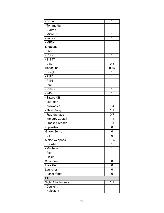| - Bizon           | 1    |
|-------------------|------|
| - Tommy Gun       | 1    |
| $-$ UMP45         | 1    |
| - Micro UZI       | 1    |
| - Vector          | 1    |
| - MP5K            | 1    |
| Shotguns          | 1    |
| $-$ S686          | 1    |
| $-S12K$           | 1    |
| - S1897           | 1    |
| $-DBS$            | 0.5  |
| Handguns          | 0.45 |
| - Deagle          | 1    |
| $-$ P18 $C$       | 1    |
| $- P1911$         | 1    |
| $-$ P92           | 1    |
| - R1895           | 1    |
| $-R45$            | 1    |
| - Sawed Off       | 1    |
| - Skorpion        | 1    |
| <b>Throwables</b> | 1.4  |
| - Flash Bang      | 1.1  |
| - Frag Grenade    | 0.7  |
| - Molotov Coctail | 1.1  |
| - Smoke Grenade   | 1.1  |
| - SpikeTrap       | 0    |
| -Sticky Bomb      | 0    |
| $-C4$             | 0    |
| Melee Weapons     | 1.65 |
| - Crowbar         | 1    |
| - Machete         | 1    |
| - Pan             | 1    |
| - Sickle          | 1    |
| Crossbow          | 0    |
| Flare Gun         | 0    |
| Launcher          | 0    |
| - Panzerfaust     | 0    |
| <b>ETC</b>        |      |
| Sight Attachments | 1.1  |
| - Dotsight        | 1    |
| - Holosight       | 1    |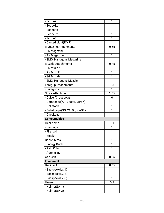| - Scope2x                        | 1    |
|----------------------------------|------|
| - Scope3x                        | 1    |
| - Scope4x                        | 1    |
| - Scope6x                        | 1    |
| - Scope8x                        | 1    |
| - Canted sight(RMR)              | 1    |
| Magazine Attachments             | 0.55 |
| - SR Magazine                    | 1    |
| - AR Magazine                    | 1    |
| - SMG, Handguns Magazine         | 1    |
| <b>Muzzle Attachments</b>        | 0.75 |
| - SR Muzzle                      | 1    |
| - AR Muzzle                      | 1    |
| - SG Muzzle                      | 1    |
| - SMG, Handguns Muzzle           | 1    |
| <b>Foregrip Attachments</b>      | 1.3  |
| - Foregrips                      | 1    |
| <b>Stock Attachment</b>          | 1.65 |
| - Quiver(Crossbow)               | 0    |
| - Composite(AR, Vector, MP5K)    | 1    |
| - UZI stock                      | 1    |
| - Bulletloops(SG, Win94, Kar98K) | 1    |
| - Cheekpad                       | 1    |
| <b>Comsumables</b>               |      |
| <b>Heal Items</b>                | 1.1  |
| - Bandage                        | 1    |
| - First aid                      | 1    |
| - Medkit                         | 1    |
| <b>Boost Items</b>               | 1    |
| - Energy Drink                   | 1    |
| - Pain Killer                    | 1    |
| - Adrenaline                     | 1    |
| Gas Can                          | 0.35 |
| <b>Equipment</b>                 |      |
| <b>Backpack</b>                  | 0.65 |
| - Backpack(Lv. 1)                | 1    |
| - Backpack(Lv. 2)                | 1    |
| - Backpack(Lv. 3)                | 1    |
| Helmet                           | 0.9  |
| - Helmet(Lv. 1)                  | 1    |
| - Helmet(Lv. 2)                  | 1    |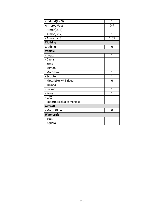| - Helmet(Lv. 3)              | 1    |
|------------------------------|------|
| <b>Armored Vest</b>          | 0.9  |
| - Armor(Lv. 1)               | 1    |
| - Armor(Lv. 2)               | 1    |
| - Armor $(\overline{Lv. 3)}$ | 1.05 |
| <b>Clothing</b>              |      |
| Clothing                     | 0    |
| Vehicle                      |      |
| - Buggy                      | 1    |
| - Dacia                      | 1    |
| - Zima                       | 1    |
| - Mirado                     | 1    |
| - Motorbike                  | 1    |
| - Scooter                    | 1    |
| - Motorbike w/ Sidecar       | 0    |
| - Tukshai                    | 1    |
| - Pickup                     | 1    |
| - Rony                       | 1    |
| - UAZ                        | 1    |
| - Esports Exclusive Vehicle  | 1    |
| <b>Aircraft</b>              |      |
| - Motor Glider               | 0    |
| <b>Watercraft</b>            |      |
| - Boat                       | 1    |
| - Aquarail                   | 1    |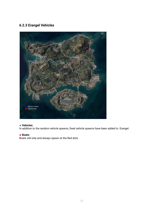#### <span id="page-26-0"></span>**6.2.3 Erangel Vehicles**



#### ■ Vehicles:

In addition to the random vehicle spawns, fixed vehicle spawns have been added to Erangel.

#### ◼ **Boats:**

Boats will only and always spawn at the Red dots.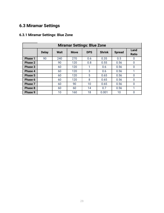## <span id="page-27-0"></span>**6.3 Miramar Settings**

| <b>Miramar Settings: Blue Zone</b> |              |             |             |            |               |               |                      |
|------------------------------------|--------------|-------------|-------------|------------|---------------|---------------|----------------------|
|                                    | <b>Delay</b> | <b>Wait</b> | <b>Move</b> | <b>DPS</b> | <b>Shrink</b> | <b>Spread</b> | Land<br><b>Ratio</b> |
| <b>Phase 1</b>                     | 90           | 240         | 270         | 0.6        | 0.35          | 0.5           | 0                    |
| <b>Phase 2</b>                     |              | 90          | 120         | 0.8        | 0.55          | 0.56          | 0                    |
| <b>Phase 3</b>                     |              | 60          | 120         | 1          | 0.6           | 0.56          | 0                    |
| <b>Phase 4</b>                     |              | 60          | 120         | 3          | 0.6           | 0.56          | 1                    |
| <b>Phase 5</b>                     |              | 60          | 120         | 5          | 0.65          | 0.56          | 0                    |
| Phase 6                            |              | 60          | 120         | 8          | 0.65          | 0.56          | 0                    |
| Phase 7                            |              | 60          | 90          | 10         | 0.65          | 0.56          | 0                    |
| <b>Phase 8</b>                     |              | 60          | 60          | 14         | 0.7           | 0.56          | 1                    |
| Phase 9                            |              | 10          | 160         | 18         | 0.001         | 10            | 0                    |

#### <span id="page-27-1"></span>**6.3.1 Miramar Settings: Blue Zone**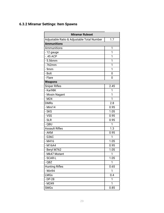#### <span id="page-28-0"></span>**6.3.2 Miramar Settings: Item Spawns**

| <b>Miramar Ruleset</b>                     |      |  |  |
|--------------------------------------------|------|--|--|
| Adjustable Ratio & Adjustable Total Number | 1.7  |  |  |
| <b>Ammunitions</b>                         |      |  |  |
| Ammunitions                                | 1    |  |  |
| $-12$ gauge                                | 1    |  |  |
| $-.45$ ACP                                 | 1    |  |  |
| $-5.56$ mm                                 | 1    |  |  |
| $-762$ mm                                  | 1    |  |  |
| $-9$ mm                                    | 1    |  |  |
| $-$ Bolt                                   | 0    |  |  |
| - Flare                                    | 0    |  |  |
| <b>Weapons</b>                             |      |  |  |
| Sniper Rifles                              | 2.45 |  |  |
| $-kar98K$                                  | 1    |  |  |
| - Mosin Nagant                             | 1    |  |  |
| $- M24$                                    | 1    |  |  |
| <b>DMRs</b>                                | 2.8  |  |  |
| $-Mini14$                                  | 0.95 |  |  |
| l- SKS                                     | 1.05 |  |  |
| - VSS                                      | 0.95 |  |  |
| $\overline{\phantom{a}}$ - SLR             | 0.95 |  |  |
| - QBU                                      | 1    |  |  |
| <b>Assault Rifles</b>                      | 1.3  |  |  |
| $-AKM$                                     | 0.95 |  |  |
| - G36C                                     | 1    |  |  |
| $-M416$                                    | 1.05 |  |  |
| - M16A4                                    | 0.95 |  |  |
| - Beryl M762                               | 1.05 |  |  |
| - Mk47 Mutant                              | 1    |  |  |
| - SCAR-L                                   | 1.05 |  |  |
| - QBZ                                      | 1    |  |  |
| Hunting Rifles                             | 0.65 |  |  |
| - Win94                                    | 1    |  |  |
| LMGs                                       | 0.4  |  |  |
| - DP-28                                    | 1    |  |  |
| - M249                                     | 1    |  |  |
| <b>SMGs</b>                                | 0.85 |  |  |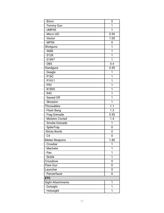| - Bizon           | 0    |
|-------------------|------|
| - Tommy Gun       | 1    |
| $-$ UMP45         | 1    |
| - Micro UZI       | 0.95 |
| - Vector          | 1.05 |
| - MP5K            | 0    |
| Shotguns          | 1    |
| $-$ S686          | 1    |
| $-S12K$           | 1    |
| - S1897           | 1    |
| $-DBS$            | 0.4  |
| Handguns          | 0.55 |
| - Deagle          | 1    |
| $-$ P18 $C$       | 1    |
| $- P1911$         | 1    |
| $-$ P92           | 1    |
| - R1895           | 1    |
| $-R45$            | 1    |
| - Sawed Off       | 1    |
| - Skorpion        | 1    |
| <b>Throwables</b> | 1.1  |
| - Flash Bang      | 1.3  |
| - Frag Grenade    | 0.55 |
| - Molotov Coctail | 1.4  |
| - Smoke Grenade   | 1    |
| - SpikeTrap       | 0    |
| -Sticky Bomb      | 0    |
| $-C4$             | 0    |
| Melee Weapons     | 1.85 |
| - Crowbar         | 1    |
| - Machete         | 1    |
| - Pan             | 1    |
| - Sickle          | 1    |
| Crossbow          | 0    |
| Flare Gun         | 0    |
| Launcher          | 0    |
| - Panzerfaust     | 0    |
| <b>ETC</b>        |      |
| Sight Attachments | 1    |
| - Dotsight        | 1    |
| - Holosight       | 1    |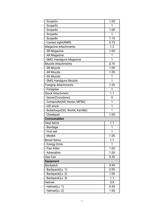| - Scope2x                        | 1.05 |
|----------------------------------|------|
| - Scope3x                        | 1    |
| - Scope4x                        | 1.05 |
| - Scope6x                        | 1    |
| - Scope8x                        | 1.15 |
| - Canted sight(RMR)              | 0.75 |
| <b>Magazine Attachments</b>      | 1.2  |
| - SR Magazine                    | 1.05 |
| - AR Magazine                    | 1    |
| - SMG, Handguns Magazine         | 1    |
| <b>Muzzle Attachments</b>        | 0.75 |
| - SR Muzzle                      | 1.05 |
| - AR Muzzle                      | 1.05 |
| - SG Muzzle                      | 1    |
| - SMG, Handguns Muzzle           | 1    |
| Foregrip Attachments             | 1.25 |
| - Foregrips                      | 1    |
| <b>Stock Attachment</b>          | 1.1  |
| - Quiver(Crossbow)               | 0    |
| - Composite(AR, Vector, MP5K)    | 1    |
| - UZI stock                      | 1    |
| - Bulletloops(SG, Win94, Kar98K) | 1    |
| - Cheekpad                       | 1.05 |
| <b>Comsumables</b>               |      |
| <b>Heal Items</b>                | 1.1  |
| - Bandage                        | 1    |
| - First aid                      | 1    |
| - Medkit                         | 1.05 |
| <b>Boost Items</b>               | 1.1  |
| - Energy Drink                   | 1    |
| - Pain Killer                    | 1.05 |
| - Adrenaline                     | 1.05 |
| Gas Can                          | 0.35 |
| <b>Equipment</b>                 |      |
| <b>Backpack</b>                  | 0.95 |
| - Backpack(Lv. 1)                | 0.95 |
| - Backpack(Lv. 2)                | 1.05 |
| - Backpack(Lv. 3)                | 1.1  |
| Helmet                           | 0.8  |
| - Helmet(Lv. 1)                  | 0.95 |
| - Helmet(Lv. 2)                  | 1.05 |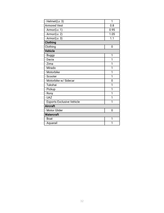| - Helmet(Lv. 3)             | 1    |
|-----------------------------|------|
| <b>Armored Vest</b>         | 0.8  |
| - Armor(Lv. 1)              | 0.95 |
| - Armor(Lv. 2)              | 1.05 |
| - Armor $(Lv. 3)$           | 1.1  |
| <b>Clothing</b>             |      |
| Clothing                    | 0    |
| <b>Vehicle</b>              |      |
| - Buggy                     | 1    |
| - Dacia                     | 1    |
| - Zima                      | 1    |
| - Mirado                    | 1    |
| - Motorbike                 | 1    |
| - Scooter                   | 1    |
| - Motorbike w/ Sidecar      | 0    |
| - Tukshai                   | 1    |
| - Pickup                    | 1    |
| - Rony                      | 1    |
| - UAZ                       | 1    |
| - Esports Exclusive Vehicle | 1    |
| <b>Aircraft</b>             |      |
| - Motor Glider              | 0    |
| <b>Watercraft</b>           |      |
| - Boat                      | 1    |
| - Aquarail                  | 1    |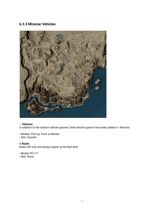#### <span id="page-32-0"></span>**6.3.3 Miramar Vehicles**



#### ■ Vehicles:

In addition to the random vehicle spawns, fixed vehicle spawns have been added to Miramar.

- Models: Pick-up Truck or Mirado
- Skin: Esports

#### ■ **Boats:**

Boats will only and always spawn at the Red dots.

- Model: PG-117
- Skin: None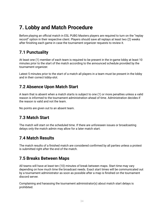# <span id="page-33-0"></span>**7. Lobby and Match Procedure**

Before playing an official match in ESL PUBG Masters players are required to turn on the "replay record" option in their respective client. Players should save all replays at least two (2) weeks after finishing each game in case the tournament organizer requests to review it.

## <span id="page-33-1"></span>**7.1 Punctuality**

At least one (1) member of each team is required to be present in the in-game lobby at least 10 minutes prior to the start of the match according to the announced schedule provided by the tournament organizer.

Latest 5 minutes prior to the start of a match all players in a team must be present in the lobby and in their correct lobby-slot.

#### <span id="page-33-2"></span>**7.2 Absence Upon Match Start**

A team that is absent when a match starts is subject to one (1) or more penalties unless a valid reason is informed to the tournament administration ahead of time. Administration decides if the reason is valid and not the team.

No points are given out to an absent team.

#### <span id="page-33-3"></span>**7.3 Match Start**

The match will start on the scheduled time. If there are unforeseen issues or broadcasting delays only the match admin may allow for a later match start.

#### <span id="page-33-4"></span>**7.4 Match Results**

The match results of a finished match are considered confirmed by all parties unless a protest is submitted right after the end of the match.

#### <span id="page-33-5"></span>**7.5 Breaks Between Maps**

All teams will have at least ten (10) minutes of break between maps. Start time may vary depending on how much time the broadcast needs. Exact start times will be communicated out by a tournament administrator as soon as possible after a map is finished on the tournament discord server.

Complaining and harassing the tournament administrator(s) about match start delays is prohibited.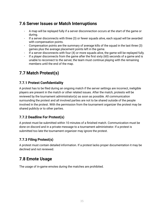#### <span id="page-34-0"></span>**7.6 Server Issues or Match Interruptions**

- A map will be replayed fully if a server disconnection occurs at the start of the game or during.
- If a server disconnects with three (3) or fewer squads alive, each squad will be awarded with compensation points.
- Compensation points are the summary of average kills of the squad in the last three (3) games plus the average placement points left in the game.
- If a server disconnects with four (4) or more squads alive, the game will be replayed fully.
- If a player disconnects from the game after the first sixty (60) seconds of a game and is unable to reconnect to the server, the team must continue playing with the remaining members until the end of the map.

#### <span id="page-34-1"></span>**7.7 Match Protest(s)**

#### <span id="page-34-2"></span>**7.7.1 Protest Confidentiality**

A protest has to be filed during an ongoing match if the server settings are incorrect, ineligible players are present in the match or other related issues. After the match, protests will be reviewed by the tournament administrator(s) as soon as possible. All communication surrounding the protest and all involved parties are not to be shared outside of the people involved in the protest. With the permission from the tournament organizer the protest may be shared publicly or to other parties.

#### <span id="page-34-3"></span>**7.7.2 Deadline For Protest(s)**

A protest must be submitted within 10 minutes of a finished match. Communication must be done on discord and in a private message to a tournament administrator. If a protest is submitted too late the tournament organizer may ignore the protest.

#### <span id="page-34-4"></span>**7.7.3 Filing Protest(s)**

A protest must contain detailed information. If a protest lacks proper documentation it may be declined and not reviewed.

#### <span id="page-34-5"></span>**7.8 Emote Usage**

The usage of in-game emotes during the matches are prohibited.